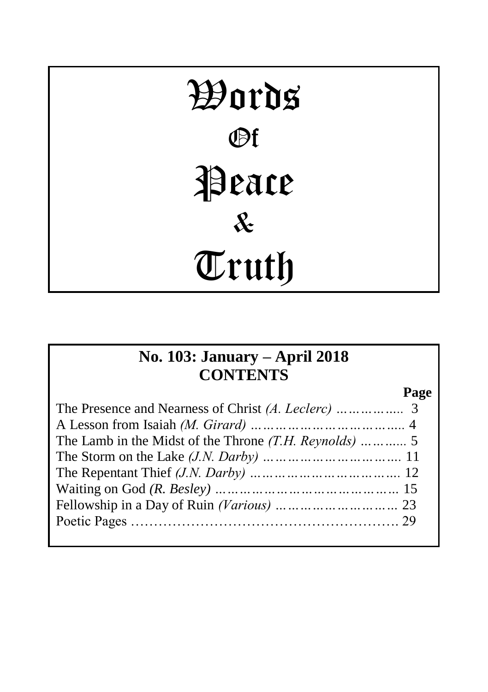# Words Of Peace & Truth

# **No. 103: January – April 2018 CONTENTS**

**Page**

| Fellowship in a Day of Ruin (Various)          23 |  |
|---------------------------------------------------|--|
|                                                   |  |
|                                                   |  |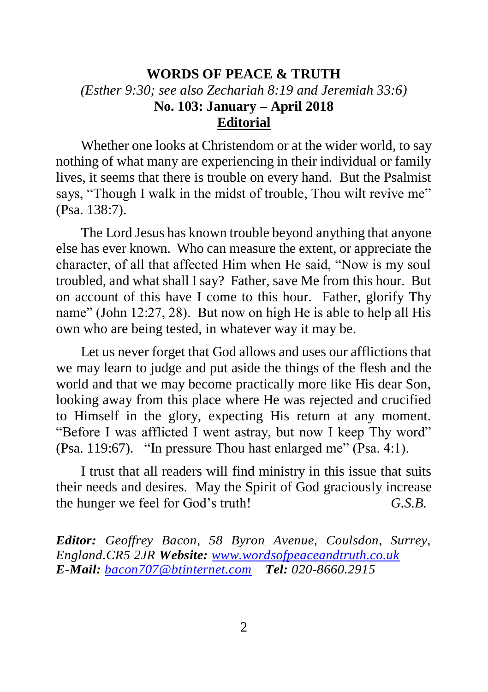## **WORDS OF PEACE & TRUTH** *(Esther 9:30; see also Zechariah 8:19 and Jeremiah 33:6)* **No. 103: January – April 2018 Editorial**

Whether one looks at Christendom or at the wider world, to say nothing of what many are experiencing in their individual or family lives, it seems that there is trouble on every hand. But the Psalmist says, "Though I walk in the midst of trouble. Thou wilt revive me" (Psa. 138:7).

The Lord Jesus has known trouble beyond anything that anyone else has ever known. Who can measure the extent, or appreciate the character, of all that affected Him when He said, "Now is my soul troubled, and what shall I say? Father, save Me from this hour. But on account of this have I come to this hour. Father, glorify Thy name" (John 12:27, 28). But now on high He is able to help all His own who are being tested, in whatever way it may be.

Let us never forget that God allows and uses our afflictions that we may learn to judge and put aside the things of the flesh and the world and that we may become practically more like His dear Son, looking away from this place where He was rejected and crucified to Himself in the glory, expecting His return at any moment. "Before I was afflicted I went astray, but now I keep Thy word" (Psa. 119:67). "In pressure Thou hast enlarged me" (Psa. 4:1).

I trust that all readers will find ministry in this issue that suits their needs and desires. May the Spirit of God graciously increase the hunger we feel for God's truth! *G.S.B.*

*Editor: Geoffrey Bacon, 58 Byron Avenue, Coulsdon, Surrey, England.CR5 2JR Website: [www.wordsofpeaceandtruth.co.uk](http://www.wordsofpeaceandtruth.co.uk/) E-Mail: [bacon707@btinternet.com](mailto:bacon707@btinternet.com) Tel: 020-8660.2915*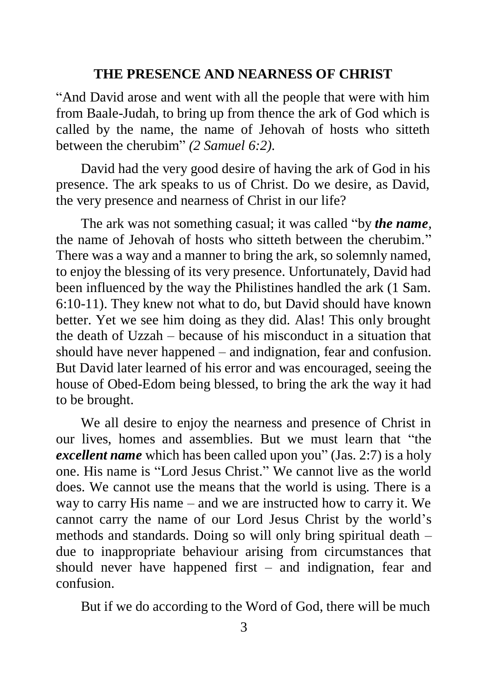#### **THE PRESENCE AND NEARNESS OF CHRIST**

"And David arose and went with all the people that were with him from Baale-Judah, to bring up from thence the ark of God which is called by the name, the name of Jehovah of hosts who sitteth between the cherubim" *(2 Samuel 6:2).*

David had the very good desire of having the ark of God in his presence. The ark speaks to us of Christ. Do we desire, as David, the very presence and nearness of Christ in our life?

The ark was not something casual; it was called "by *the name,*  the name of Jehovah of hosts who sitteth between the cherubim." There was a way and a manner to bring the ark, so solemnly named, to enjoy the blessing of its very presence. Unfortunately, David had been influenced by the way the Philistines handled the ark (1 Sam. 6:10-11). They knew not what to do, but David should have known better. Yet we see him doing as they did. Alas! This only brought the death of Uzzah – because of his misconduct in a situation that should have never happened – and indignation, fear and confusion. But David later learned of his error and was encouraged, seeing the house of Obed-Edom being blessed, to bring the ark the way it had to be brought.

We all desire to enjoy the nearness and presence of Christ in our lives, homes and assemblies. But we must learn that "the *excellent name* which has been called upon you" (Jas. 2:7) is a holy one. His name is "Lord Jesus Christ." We cannot live as the world does. We cannot use the means that the world is using. There is a way to carry His name – and we are instructed how to carry it. We cannot carry the name of our Lord Jesus Christ by the world's methods and standards. Doing so will only bring spiritual death – due to inappropriate behaviour arising from circumstances that should never have happened first – and indignation, fear and confusion.

But if we do according to the Word of God, there will be much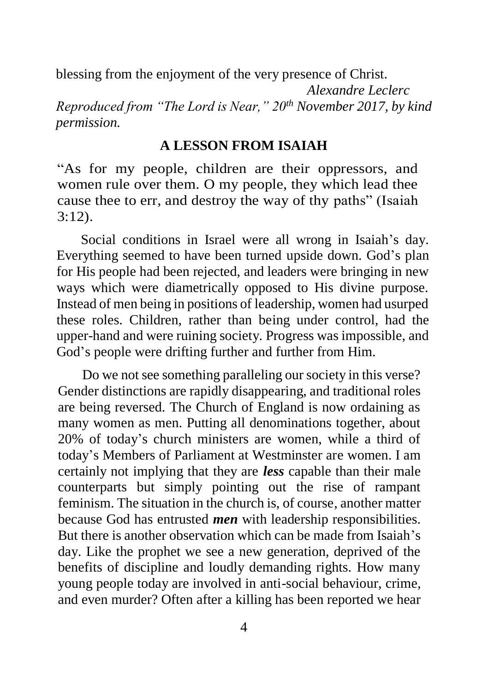blessing from the enjoyment of the very presence of Christ. *Alexandre Leclerc Reproduced from "The Lord is Near," 20th November 2017, by kind permission.*

#### **A LESSON FROM ISAIAH**

"As for my people, children are their oppressors, and women rule over them. O my people, they which lead thee cause thee to err, and destroy the way of thy paths" (Isaiah 3:12).

Social conditions in Israel were all wrong in Isaiah's day. Everything seemed to have been turned upside down. God's plan for His people had been rejected, and leaders were bringing in new ways which were diametrically opposed to His divine purpose. Instead of men being in positions of leadership, women had usurped these roles. Children, rather than being under control, had the upper-hand and were ruining society. Progress was impossible, and God's people were drifting further and further from Him.

Do we not see something paralleling our society in this verse? Gender distinctions are rapidly disappearing, and traditional roles are being reversed. The Church of England is now ordaining as many women as men. Putting all denominations together, about 20% of today's church ministers are women, while a third of today's Members of Parliament at Westminster are women. I am certainly not implying that they are *less* capable than their male counterparts but simply pointing out the rise of rampant feminism. The situation in the church is, of course, another matter because God has entrusted *men* with leadership responsibilities. But there is another observation which can be made from Isaiah's day. Like the prophet we see a new generation, deprived of the benefits of discipline and loudly demanding rights. How many young people today are involved in anti-social behaviour, crime, and even murder? Often after a killing has been reported we hear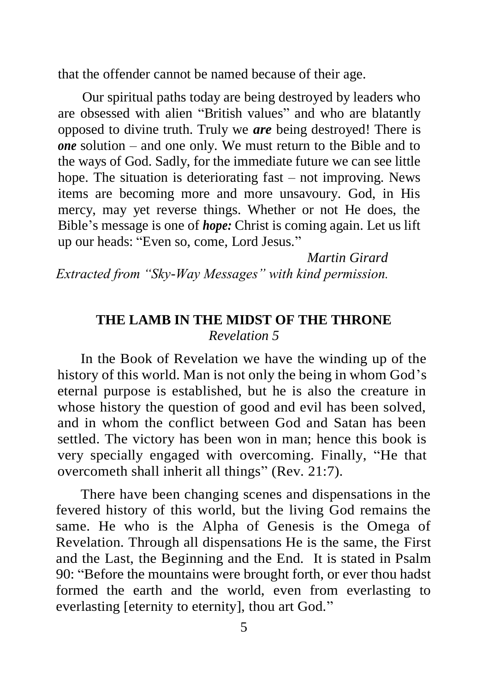that the offender cannot be named because of their age.

Our spiritual paths today are being destroyed by leaders who are obsessed with alien "British values" and who are blatantly opposed to divine truth. Truly we *are* being destroyed! There is *one* solution – and one only. We must return to the Bible and to the ways of God. Sadly, for the immediate future we can see little hope. The situation is deteriorating fast – not improving. News items are becoming more and more unsavoury. God, in His mercy, may yet reverse things. Whether or not He does, the Bible's message is one of *hope:* Christ is coming again. Let us lift up our heads: "Even so, come, Lord Jesus."

*Martin Girard Extracted from "Sky-Way Messages" with kind permission.*

## **THE LAMB IN THE MIDST OF THE THRONE** *Revelation 5*

In the Book of Revelation we have the winding up of the history of this world. Man is not only the being in whom God's eternal purpose is established, but he is also the creature in whose history the question of good and evil has been solved, and in whom the conflict between God and Satan has been settled. The victory has been won in man; hence this book is very specially engaged with overcoming. Finally, "He that overcometh shall inherit all things" (Rev. 21:7).

There have been changing scenes and dispensations in the fevered history of this world, but the living God remains the same. He who is the Alpha of Genesis is the Omega of Revelation. Through all dispensations He is the same, the First and the Last, the Beginning and the End. It is stated in Psalm 90: "Before the mountains were brought forth, or ever thou hadst formed the earth and the world, even from everlasting to everlasting [eternity to eternity], thou art God."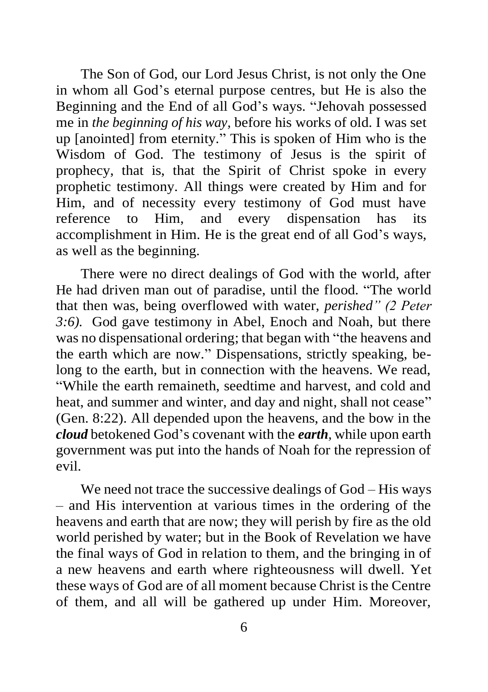The Son of God, our Lord Jesus Christ, is not only the One in whom all God's eternal purpose centres, but He is also the Beginning and the End of all God's ways. "Jehovah possessed me in *the beginning of his way,* before his works of old. I was set up [anointed] from eternity." This is spoken of Him who is the Wisdom of God. The testimony of Jesus is the spirit of prophecy, that is, that the Spirit of Christ spoke in every prophetic testimony. All things were created by Him and for Him, and of necessity every testimony of God must have reference to Him, and every dispensation has its accomplishment in Him. He is the great end of all God's ways, as well as the beginning.

There were no direct dealings of God with the world, after He had driven man out of paradise, until the flood. "The world that then was, being overflowed with water, *perished" (2 Peter 3:6).* God gave testimony in Abel, Enoch and Noah, but there was no dispensational ordering; that began with "the heavens and the earth which are now." Dispensations, strictly speaking, belong to the earth, but in connection with the heavens. We read, "While the earth remaineth, seedtime and harvest, and cold and heat, and summer and winter, and day and night, shall not cease" (Gen. 8:22). All depended upon the heavens, and the bow in the *cloud* betokened God's covenant with the *earth,* while upon earth government was put into the hands of Noah for the repression of evil.

We need not trace the successive dealings of God – His ways – and His intervention at various times in the ordering of the heavens and earth that are now; they will perish by fire as the old world perished by water; but in the Book of Revelation we have the final ways of God in relation to them, and the bringing in of a new heavens and earth where righteousness will dwell. Yet these ways of God are of all moment because Christ is the Centre of them, and all will be gathered up under Him. Moreover,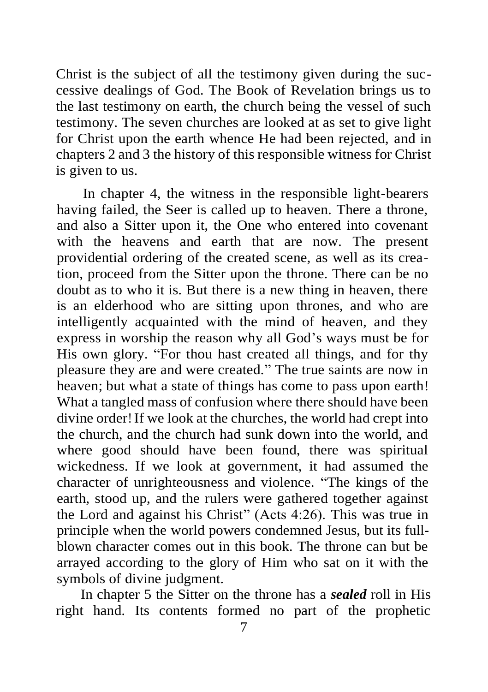Christ is the subject of all the testimony given during the successive dealings of God. The Book of Revelation brings us to the last testimony on earth, the church being the vessel of such testimony. The seven churches are looked at as set to give light for Christ upon the earth whence He had been rejected, and in chapters 2 and 3 the history of this responsible witness for Christ is given to us.

In chapter 4, the witness in the responsible light-bearers having failed, the Seer is called up to heaven. There a throne, and also a Sitter upon it, the One who entered into covenant with the heavens and earth that are now. The present providential ordering of the created scene, as well as its creation, proceed from the Sitter upon the throne. There can be no doubt as to who it is. But there is a new thing in heaven, there is an elderhood who are sitting upon thrones, and who are intelligently acquainted with the mind of heaven, and they express in worship the reason why all God's ways must be for His own glory. "For thou hast created all things, and for thy pleasure they are and were created." The true saints are now in heaven; but what a state of things has come to pass upon earth! What a tangled mass of confusion where there should have been divine order! If we look at the churches, the world had crept into the church, and the church had sunk down into the world, and where good should have been found, there was spiritual wickedness. If we look at government, it had assumed the character of unrighteousness and violence. "The kings of the earth, stood up, and the rulers were gathered together against the Lord and against his Christ" (Acts 4:26). This was true in principle when the world powers condemned Jesus, but its fullblown character comes out in this book. The throne can but be arrayed according to the glory of Him who sat on it with the symbols of divine judgment.

In chapter 5 the Sitter on the throne has a *sealed* roll in His right hand. Its contents formed no part of the prophetic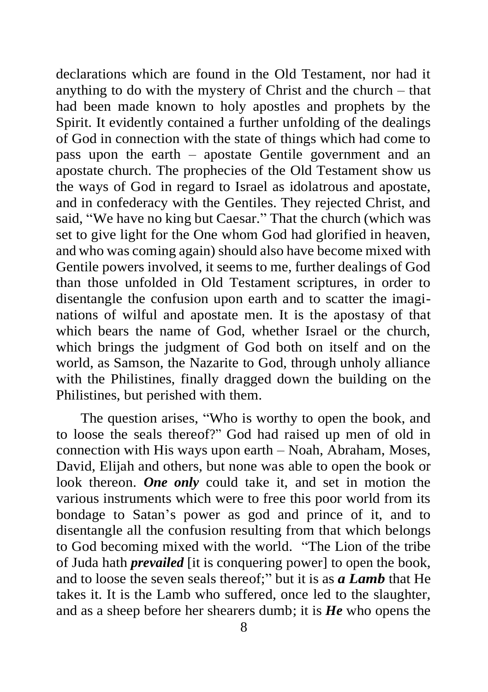declarations which are found in the Old Testament, nor had it anything to do with the mystery of Christ and the church – that had been made known to holy apostles and prophets by the Spirit. It evidently contained a further unfolding of the dealings of God in connection with the state of things which had come to pass upon the earth – apostate Gentile government and an apostate church. The prophecies of the Old Testament show us the ways of God in regard to Israel as idolatrous and apostate, and in confederacy with the Gentiles. They rejected Christ, and said, "We have no king but Caesar." That the church (which was set to give light for the One whom God had glorified in heaven, and who was coming again) should also have become mixed with Gentile powers involved, it seems to me, further dealings of God than those unfolded in Old Testament scriptures, in order to disentangle the confusion upon earth and to scatter the imaginations of wilful and apostate men. It is the apostasy of that which bears the name of God, whether Israel or the church, which brings the judgment of God both on itself and on the world, as Samson, the Nazarite to God, through unholy alliance with the Philistines, finally dragged down the building on the Philistines, but perished with them.

The question arises, "Who is worthy to open the book, and to loose the seals thereof?" God had raised up men of old in connection with His ways upon earth – Noah, Abraham, Moses, David, Elijah and others, but none was able to open the book or look thereon. **One only** could take it, and set in motion the various instruments which were to free this poor world from its bondage to Satan's power as god and prince of it, and to disentangle all the confusion resulting from that which belongs to God becoming mixed with the world. "The Lion of the tribe of Juda hath *prevailed* [it is conquering power] to open the book, and to loose the seven seals thereof;" but it is as *a Lamb* that He takes it. It is the Lamb who suffered, once led to the slaughter, and as a sheep before her shearers dumb; it is *He* who opens the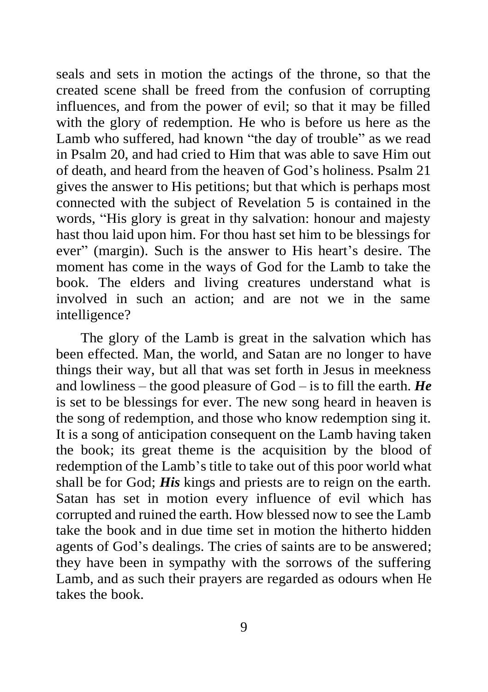seals and sets in motion the actings of the throne, so that the created scene shall be freed from the confusion of corrupting influences, and from the power of evil; so that it may be filled with the glory of redemption. He who is before us here as the Lamb who suffered, had known "the day of trouble" as we read in Psalm 20, and had cried to Him that was able to save Him out of death, and heard from the heaven of God's holiness. Psalm 21 gives the answer to His petitions; but that which is perhaps most connected with the subject of Revelation 5 is contained in the words, "His glory is great in thy salvation: honour and majesty hast thou laid upon him. For thou hast set him to be blessings for ever" (margin). Such is the answer to His heart's desire. The moment has come in the ways of God for the Lamb to take the book. The elders and living creatures understand what is involved in such an action; and are not we in the same intelligence?

The glory of the Lamb is great in the salvation which has been effected. Man, the world, and Satan are no longer to have things their way, but all that was set forth in Jesus in meekness and lowliness – the good pleasure of God – is to fill the earth. *He*  is set to be blessings for ever. The new song heard in heaven is the song of redemption, and those who know redemption sing it. It is a song of anticipation consequent on the Lamb having taken the book; its great theme is the acquisition by the blood of redemption of the Lamb's title to take out of this poor world what shall be for God; *His* kings and priests are to reign on the earth. Satan has set in motion every influence of evil which has corrupted and ruined the earth. How blessed now to see the Lamb take the book and in due time set in motion the hitherto hidden agents of God's dealings. The cries of saints are to be answered; they have been in sympathy with the sorrows of the suffering Lamb, and as such their prayers are regarded as odours when He takes the book.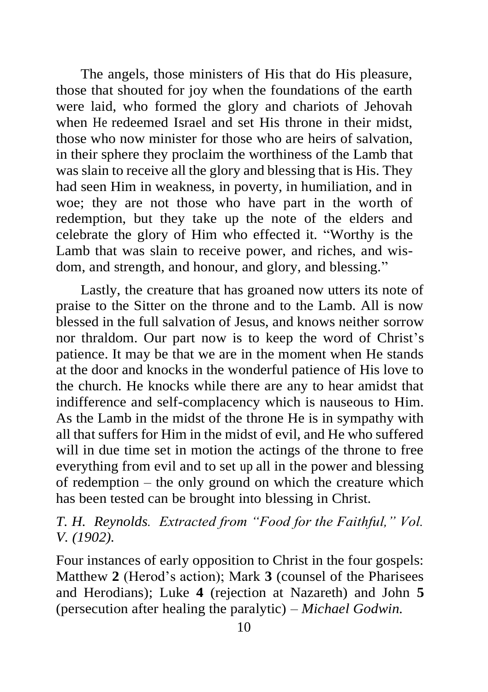The angels, those ministers of His that do His pleasure, those that shouted for joy when the foundations of the earth were laid, who formed the glory and chariots of Jehovah when He redeemed Israel and set His throne in their midst, those who now minister for those who are heirs of salvation, in their sphere they proclaim the worthiness of the Lamb that was slain to receive all the glory and blessing that is His. They had seen Him in weakness, in poverty, in humiliation, and in woe; they are not those who have part in the worth of redemption, but they take up the note of the elders and celebrate the glory of Him who effected it. "Worthy is the Lamb that was slain to receive power, and riches, and wisdom, and strength, and honour, and glory, and blessing."

Lastly, the creature that has groaned now utters its note of praise to the Sitter on the throne and to the Lamb. All is now blessed in the full salvation of Jesus, and knows neither sorrow nor thraldom. Our part now is to keep the word of Christ's patience. It may be that we are in the moment when He stands at the door and knocks in the wonderful patience of His love to the church. He knocks while there are any to hear amidst that indifference and self-complacency which is nauseous to Him. As the Lamb in the midst of the throne He is in sympathy with all that suffers for Him in the midst of evil, and He who suffered will in due time set in motion the actings of the throne to free everything from evil and to set up all in the power and blessing of redemption – the only ground on which the creature which has been tested can be brought into blessing in Christ.

## *T. H. Reynolds. Extracted from "Food for the Faithful," Vol. V. (1902).*

Four instances of early opposition to Christ in the four gospels: Matthew **2** (Herod's action); Mark **3** (counsel of the Pharisees and Herodians); Luke **4** (rejection at Nazareth) and John **5** (persecution after healing the paralytic) – *Michael Godwin.*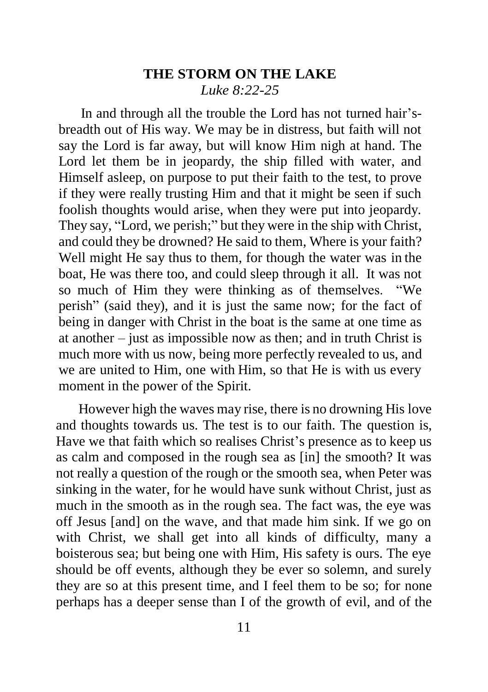## **THE STORM ON THE LAKE** *Luke 8:22-25*

In and through all the trouble the Lord has not turned hair'sbreadth out of His way. We may be in distress, but faith will not say the Lord is far away, but will know Him nigh at hand. The Lord let them be in jeopardy, the ship filled with water, and Himself asleep, on purpose to put their faith to the test, to prove if they were really trusting Him and that it might be seen if such foolish thoughts would arise, when they were put into jeopardy. They say, "Lord, we perish;" but they were in the ship with Christ, and could they be drowned? He said to them, Where is your faith? Well might He say thus to them, for though the water was in the boat, He was there too, and could sleep through it all. It was not so much of Him they were thinking as of themselves. "We perish" (said they), and it is just the same now; for the fact of being in danger with Christ in the boat is the same at one time as at another – just as impossible now as then; and in truth Christ is much more with us now, being more perfectly revealed to us, and we are united to Him, one with Him, so that He is with us every moment in the power of the Spirit.

However high the waves may rise, there is no drowning His love and thoughts towards us. The test is to our faith. The question is, Have we that faith which so realises Christ's presence as to keep us as calm and composed in the rough sea as [in] the smooth? It was not really a question of the rough or the smooth sea, when Peter was sinking in the water, for he would have sunk without Christ, just as much in the smooth as in the rough sea. The fact was, the eye was off Jesus [and] on the wave, and that made him sink. If we go on with Christ, we shall get into all kinds of difficulty, many a boisterous sea; but being one with Him, His safety is ours. The eye should be off events, although they be ever so solemn, and surely they are so at this present time, and I feel them to be so; for none perhaps has a deeper sense than I of the growth of evil, and of the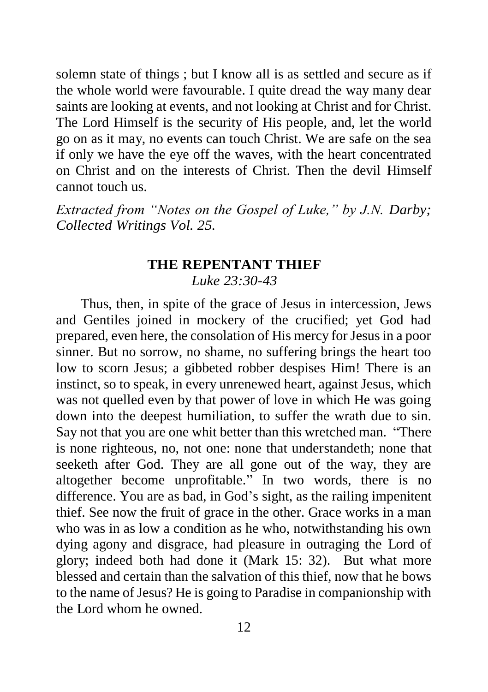solemn state of things ; but I know all is as settled and secure as if the whole world were favourable. I quite dread the way many dear saints are looking at events, and not looking at Christ and for Christ. The Lord Himself is the security of His people, and, let the world go on as it may, no events can touch Christ. We are safe on the sea if only we have the eye off the waves, with the heart concentrated on Christ and on the interests of Christ. Then the devil Himself cannot touch us.

*Extracted from "Notes on the Gospel of Luke," by J.N. Darby; Collected Writings Vol. 25.*

## **THE REPENTANT THIEF** *Luke 23:30-43*

Thus, then, in spite of the grace of Jesus in intercession, Jews and Gentiles joined in mockery of the crucified; yet God had prepared, even here, the consolation of His mercy for Jesus in a poor sinner. But no sorrow, no shame, no suffering brings the heart too low to scorn Jesus; a gibbeted robber despises Him! There is an instinct, so to speak, in every unrenewed heart, against Jesus, which was not quelled even by that power of love in which He was going down into the deepest humiliation, to suffer the wrath due to sin. Say not that you are one whit better than this wretched man. "There is none righteous, no, not one: none that understandeth; none that seeketh after God. They are all gone out of the way, they are altogether become unprofitable." In two words, there is no difference. You are as bad, in God's sight, as the railing impenitent thief. See now the fruit of grace in the other. Grace works in a man who was in as low a condition as he who, notwithstanding his own dying agony and disgrace, had pleasure in outraging the Lord of glory; indeed both had done it (Mark 15: 32). But what more blessed and certain than the salvation of this thief, now that he bows to the name of Jesus? He is going to Paradise in companionship with the Lord whom he owned.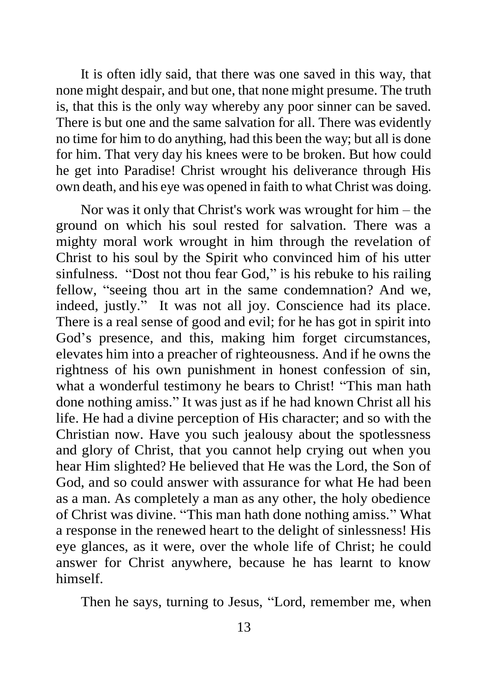It is often idly said, that there was one saved in this way, that none might despair, and but one, that none might presume. The truth is, that this is the only way whereby any poor sinner can be saved. There is but one and the same salvation for all. There was evidently no time for him to do anything, had this been the way; but all is done for him. That very day his knees were to be broken. But how could he get into Paradise! Christ wrought his deliverance through His own death, and his eye was opened in faith to what Christ was doing.

Nor was it only that Christ's work was wrought for him – the ground on which his soul rested for salvation. There was a mighty moral work wrought in him through the revelation of Christ to his soul by the Spirit who convinced him of his utter sinfulness. "Dost not thou fear God," is his rebuke to his railing fellow, "seeing thou art in the same condemnation? And we, indeed, justly." It was not all joy. Conscience had its place. There is a real sense of good and evil; for he has got in spirit into God's presence, and this, making him forget circumstances, elevates him into a preacher of righteousness. And if he owns the rightness of his own punishment in honest confession of sin, what a wonderful testimony he bears to Christ! "This man hath done nothing amiss." It was just as if he had known Christ all his life. He had a divine perception of His character; and so with the Christian now. Have you such jealousy about the spotlessness and glory of Christ, that you cannot help crying out when you hear Him slighted? He believed that He was the Lord, the Son of God, and so could answer with assurance for what He had been as a man. As completely a man as any other, the holy obedience of Christ was divine. "This man hath done nothing amiss." What a response in the renewed heart to the delight of sinlessness! His eye glances, as it were, over the whole life of Christ; he could answer for Christ anywhere, because he has learnt to know himself.

Then he says, turning to Jesus, "Lord, remember me, when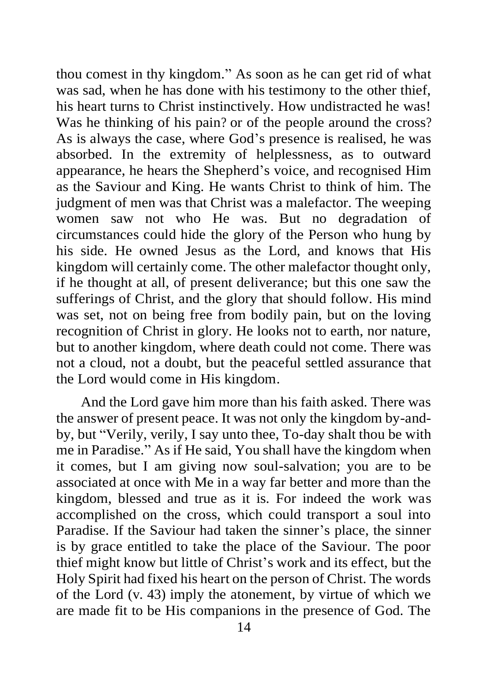thou comest in thy kingdom." As soon as he can get rid of what was sad, when he has done with his testimony to the other thief, his heart turns to Christ instinctively. How undistracted he was! Was he thinking of his pain? or of the people around the cross? As is always the case, where God's presence is realised, he was absorbed. In the extremity of helplessness, as to outward appearance, he hears the Shepherd's voice, and recognised Him as the Saviour and King. He wants Christ to think of him. The judgment of men was that Christ was a malefactor. The weeping women saw not who He was. But no degradation of circumstances could hide the glory of the Person who hung by his side. He owned Jesus as the Lord, and knows that His kingdom will certainly come. The other malefactor thought only, if he thought at all, of present deliverance; but this one saw the sufferings of Christ, and the glory that should follow. His mind was set, not on being free from bodily pain, but on the loving recognition of Christ in glory. He looks not to earth, nor nature, but to another kingdom, where death could not come. There was not a cloud, not a doubt, but the peaceful settled assurance that the Lord would come in His kingdom.

And the Lord gave him more than his faith asked. There was the answer of present peace. It was not only the kingdom by-andby, but "Verily, verily, I say unto thee, To-day shalt thou be with me in Paradise." As if He said, You shall have the kingdom when it comes, but I am giving now soul-salvation; you are to be associated at once with Me in a way far better and more than the kingdom, blessed and true as it is. For indeed the work was accomplished on the cross, which could transport a soul into Paradise. If the Saviour had taken the sinner's place, the sinner is by grace entitled to take the place of the Saviour. The poor thief might know but little of Christ's work and its effect, but the Holy Spirit had fixed his heart on the person of Christ. The words of the Lord (v. 43) imply the atonement, by virtue of which we are made fit to be His companions in the presence of God. The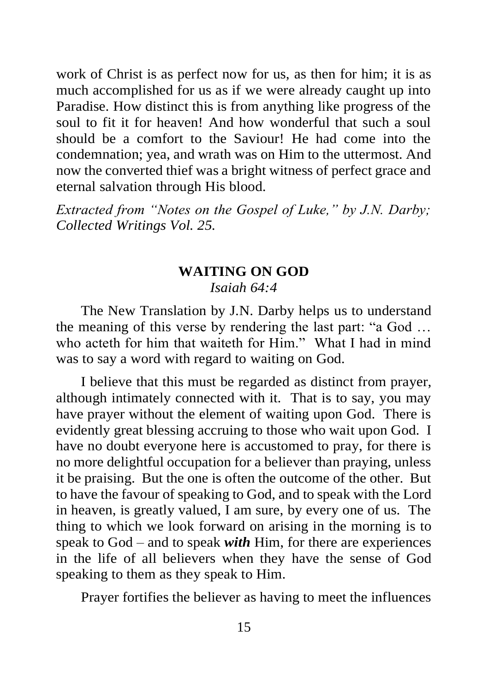work of Christ is as perfect now for us, as then for him; it is as much accomplished for us as if we were already caught up into Paradise. How distinct this is from anything like progress of the soul to fit it for heaven! And how wonderful that such a soul should be a comfort to the Saviour! He had come into the condemnation; yea, and wrath was on Him to the uttermost. And now the converted thief was a bright witness of perfect grace and eternal salvation through His blood.

*Extracted from "Notes on the Gospel of Luke," by J.N. Darby; Collected Writings Vol. 25.*

## **WAITING ON GOD**

## *Isaiah 64:4*

The New Translation by J.N. Darby helps us to understand the meaning of this verse by rendering the last part: "a God … who acteth for him that waiteth for Him." What I had in mind was to say a word with regard to waiting on God.

I believe that this must be regarded as distinct from prayer, although intimately connected with it. That is to say, you may have prayer without the element of waiting upon God. There is evidently great blessing accruing to those who wait upon God. I have no doubt everyone here is accustomed to pray, for there is no more delightful occupation for a believer than praying, unless it be praising. But the one is often the outcome of the other. But to have the favour of speaking to God, and to speak with the Lord in heaven, is greatly valued, I am sure, by every one of us. The thing to which we look forward on arising in the morning is to speak to God – and to speak *with* Him, for there are experiences in the life of all believers when they have the sense of God speaking to them as they speak to Him.

Prayer fortifies the believer as having to meet the influences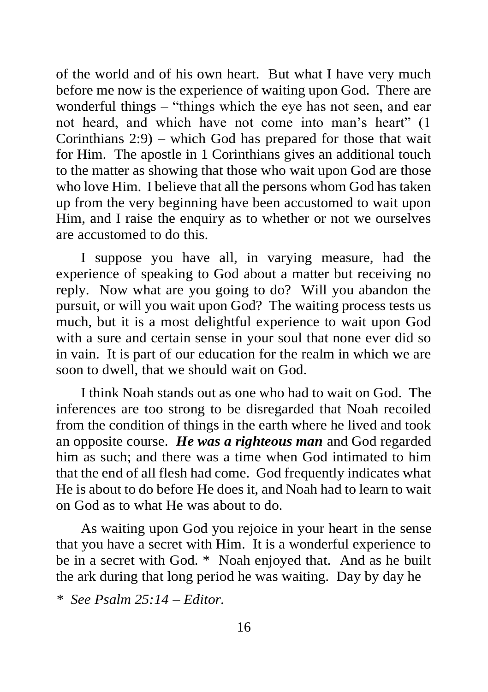of the world and of his own heart. But what I have very much before me now is the experience of waiting upon God. There are wonderful things – "things which the eye has not seen, and ear not heard, and which have not come into man's heart" (1 Corinthians 2:9) – which God has prepared for those that wait for Him. The apostle in 1 Corinthians gives an additional touch to the matter as showing that those who wait upon God are those who love Him. I believe that all the persons whom God has taken up from the very beginning have been accustomed to wait upon Him, and I raise the enquiry as to whether or not we ourselves are accustomed to do this.

I suppose you have all, in varying measure, had the experience of speaking to God about a matter but receiving no reply. Now what are you going to do? Will you abandon the pursuit, or will you wait upon God? The waiting process tests us much, but it is a most delightful experience to wait upon God with a sure and certain sense in your soul that none ever did so in vain. It is part of our education for the realm in which we are soon to dwell, that we should wait on God.

I think Noah stands out as one who had to wait on God. The inferences are too strong to be disregarded that Noah recoiled from the condition of things in the earth where he lived and took an opposite course. *He was a righteous man* and God regarded him as such; and there was a time when God intimated to him that the end of all flesh had come. God frequently indicates what He is about to do before He does it, and Noah had to learn to wait on God as to what He was about to do.

As waiting upon God you rejoice in your heart in the sense that you have a secret with Him. It is a wonderful experience to be in a secret with God. \* Noah enjoyed that. And as he built the ark during that long period he was waiting. Day by day he

*<sup>\*</sup> See Psalm 25:14 – Editor.*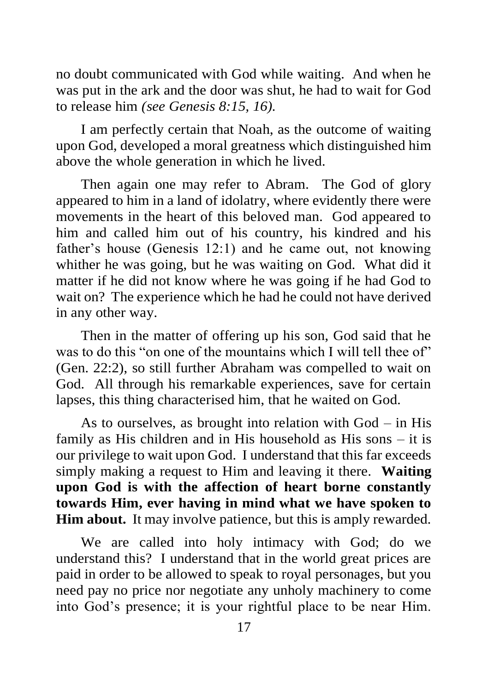no doubt communicated with God while waiting. And when he was put in the ark and the door was shut, he had to wait for God to release him *(see Genesis 8:15, 16).*

I am perfectly certain that Noah, as the outcome of waiting upon God, developed a moral greatness which distinguished him above the whole generation in which he lived.

Then again one may refer to Abram. The God of glory appeared to him in a land of idolatry, where evidently there were movements in the heart of this beloved man. God appeared to him and called him out of his country, his kindred and his father's house (Genesis 12:1) and he came out, not knowing whither he was going, but he was waiting on God. What did it matter if he did not know where he was going if he had God to wait on? The experience which he had he could not have derived in any other way.

Then in the matter of offering up his son, God said that he was to do this "on one of the mountains which I will tell thee of" (Gen. 22:2), so still further Abraham was compelled to wait on God. All through his remarkable experiences, save for certain lapses, this thing characterised him, that he waited on God.

As to ourselves, as brought into relation with God – in His family as His children and in His household as His sons – it is our privilege to wait upon God. I understand that this far exceeds simply making a request to Him and leaving it there. **Waiting upon God is with the affection of heart borne constantly towards Him, ever having in mind what we have spoken to Him about.** It may involve patience, but this is amply rewarded.

We are called into holy intimacy with God; do we understand this? I understand that in the world great prices are paid in order to be allowed to speak to royal personages, but you need pay no price nor negotiate any unholy machinery to come into God's presence; it is your rightful place to be near Him.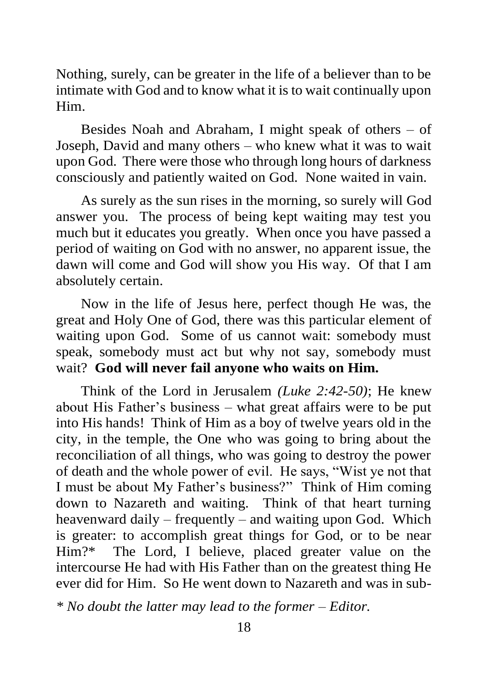Nothing, surely, can be greater in the life of a believer than to be intimate with God and to know what it is to wait continually upon Him.

Besides Noah and Abraham, I might speak of others – of Joseph, David and many others – who knew what it was to wait upon God. There were those who through long hours of darkness consciously and patiently waited on God. None waited in vain.

As surely as the sun rises in the morning, so surely will God answer you. The process of being kept waiting may test you much but it educates you greatly. When once you have passed a period of waiting on God with no answer, no apparent issue, the dawn will come and God will show you His way. Of that I am absolutely certain.

Now in the life of Jesus here, perfect though He was, the great and Holy One of God, there was this particular element of waiting upon God. Some of us cannot wait: somebody must speak, somebody must act but why not say, somebody must wait? **God will never fail anyone who waits on Him.**

Think of the Lord in Jerusalem *(Luke 2:42-50)*; He knew about His Father's business – what great affairs were to be put into His hands! Think of Him as a boy of twelve years old in the city, in the temple, the One who was going to bring about the reconciliation of all things, who was going to destroy the power of death and the whole power of evil. He says, "Wist ye not that I must be about My Father's business?" Think of Him coming down to Nazareth and waiting. Think of that heart turning heavenward daily – frequently – and waiting upon God. Which is greater: to accomplish great things for God, or to be near Him?\* The Lord, I believe, placed greater value on the intercourse He had with His Father than on the greatest thing He ever did for Him. So He went down to Nazareth and was in sub-

*\* No doubt the latter may lead to the former – Editor.*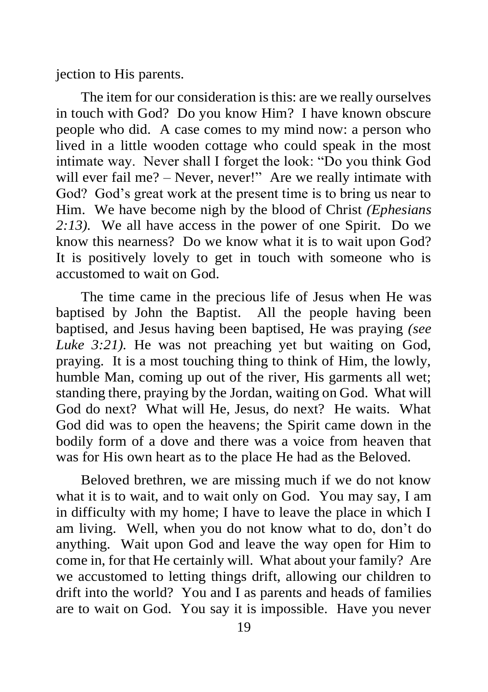jection to His parents.

The item for our consideration is this: are we really ourselves in touch with God? Do you know Him? I have known obscure people who did. A case comes to my mind now: a person who lived in a little wooden cottage who could speak in the most intimate way. Never shall I forget the look: "Do you think God will ever fail me? – Never, never!" Are we really intimate with God? God's great work at the present time is to bring us near to Him. We have become nigh by the blood of Christ *(Ephesians 2:13).* We all have access in the power of one Spirit. Do we know this nearness? Do we know what it is to wait upon God? It is positively lovely to get in touch with someone who is accustomed to wait on God.

The time came in the precious life of Jesus when He was baptised by John the Baptist. All the people having been baptised, and Jesus having been baptised, He was praying *(see Luke 3:21).* He was not preaching yet but waiting on God, praying. It is a most touching thing to think of Him, the lowly, humble Man, coming up out of the river, His garments all wet; standing there, praying by the Jordan, waiting on God. What will God do next? What will He, Jesus, do next? He waits. What God did was to open the heavens; the Spirit came down in the bodily form of a dove and there was a voice from heaven that was for His own heart as to the place He had as the Beloved.

Beloved brethren, we are missing much if we do not know what it is to wait, and to wait only on God. You may say, I am in difficulty with my home; I have to leave the place in which I am living. Well, when you do not know what to do, don't do anything. Wait upon God and leave the way open for Him to come in, for that He certainly will. What about your family? Are we accustomed to letting things drift, allowing our children to drift into the world? You and I as parents and heads of families are to wait on God. You say it is impossible. Have you never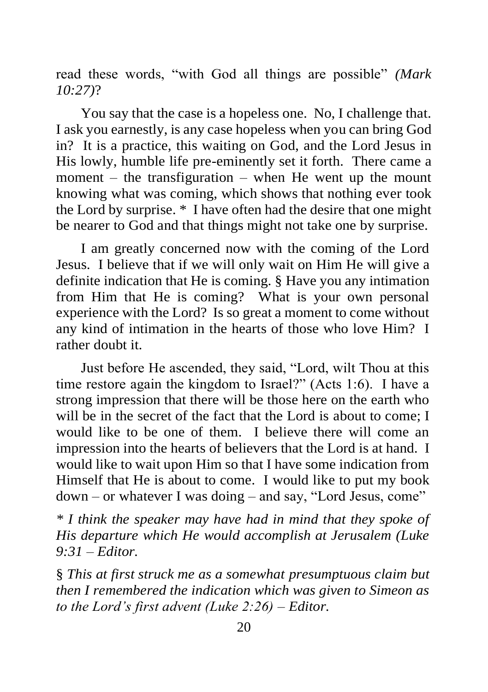read these words, "with God all things are possible" *(Mark 10:27)*?

You say that the case is a hopeless one. No, I challenge that. I ask you earnestly, is any case hopeless when you can bring God in? It is a practice, this waiting on God, and the Lord Jesus in His lowly, humble life pre-eminently set it forth. There came a moment – the transfiguration – when He went up the mount knowing what was coming, which shows that nothing ever took the Lord by surprise. \* I have often had the desire that one might be nearer to God and that things might not take one by surprise.

I am greatly concerned now with the coming of the Lord Jesus. I believe that if we will only wait on Him He will give a definite indication that He is coming. § Have you any intimation from Him that He is coming? What is your own personal experience with the Lord? Is so great a moment to come without any kind of intimation in the hearts of those who love Him? I rather doubt it.

Just before He ascended, they said, "Lord, wilt Thou at this time restore again the kingdom to Israel?" (Acts 1:6). I have a strong impression that there will be those here on the earth who will be in the secret of the fact that the Lord is about to come: I would like to be one of them. I believe there will come an impression into the hearts of believers that the Lord is at hand. I would like to wait upon Him so that I have some indication from Himself that He is about to come. I would like to put my book down – or whatever I was doing – and say, "Lord Jesus, come"

*\* I think the speaker may have had in mind that they spoke of His departure which He would accomplish at Jerusalem (Luke 9:31 – Editor.*

§ *This at first struck me as a somewhat presumptuous claim but then I remembered the indication which was given to Simeon as to the Lord's first advent (Luke 2:26) – Editor.*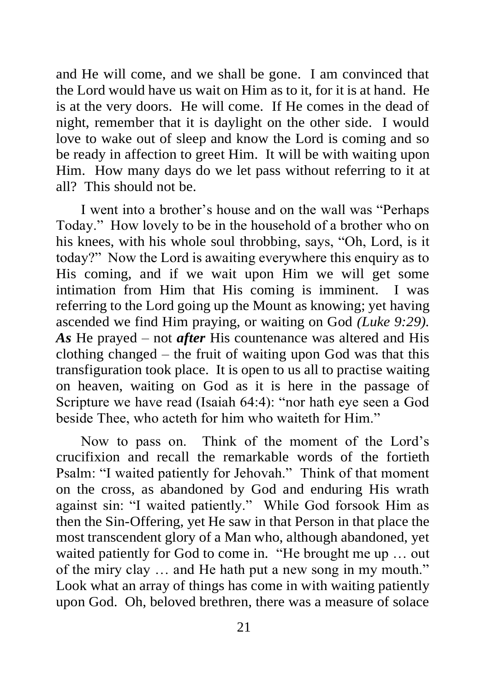and He will come, and we shall be gone. I am convinced that the Lord would have us wait on Him as to it, for it is at hand. He is at the very doors. He will come. If He comes in the dead of night, remember that it is daylight on the other side. I would love to wake out of sleep and know the Lord is coming and so be ready in affection to greet Him. It will be with waiting upon Him. How many days do we let pass without referring to it at all? This should not be.

I went into a brother's house and on the wall was "Perhaps Today." How lovely to be in the household of a brother who on his knees, with his whole soul throbbing, says, "Oh, Lord, is it today?" Now the Lord is awaiting everywhere this enquiry as to His coming, and if we wait upon Him we will get some intimation from Him that His coming is imminent. I was referring to the Lord going up the Mount as knowing; yet having ascended we find Him praying, or waiting on God *(Luke 9:29). As* He prayed – not *after* His countenance was altered and His clothing changed – the fruit of waiting upon God was that this transfiguration took place. It is open to us all to practise waiting on heaven, waiting on God as it is here in the passage of Scripture we have read (Isaiah 64:4): "nor hath eye seen a God beside Thee, who acteth for him who waiteth for Him."

Now to pass on. Think of the moment of the Lord's crucifixion and recall the remarkable words of the fortieth Psalm: "I waited patiently for Jehovah." Think of that moment on the cross, as abandoned by God and enduring His wrath against sin: "I waited patiently." While God forsook Him as then the Sin-Offering, yet He saw in that Person in that place the most transcendent glory of a Man who, although abandoned, yet waited patiently for God to come in. "He brought me up … out of the miry clay … and He hath put a new song in my mouth." Look what an array of things has come in with waiting patiently upon God. Oh, beloved brethren, there was a measure of solace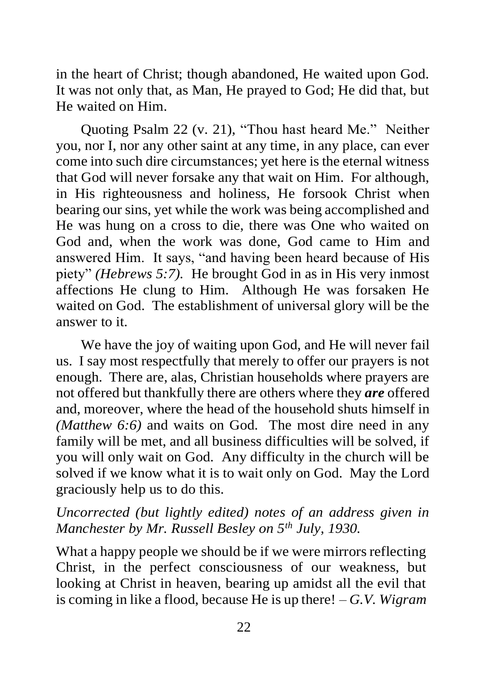in the heart of Christ; though abandoned, He waited upon God. It was not only that, as Man, He prayed to God; He did that, but He waited on Him.

Quoting Psalm 22 (v. 21), "Thou hast heard Me." Neither you, nor I, nor any other saint at any time, in any place, can ever come into such dire circumstances; yet here is the eternal witness that God will never forsake any that wait on Him. For although, in His righteousness and holiness, He forsook Christ when bearing our sins, yet while the work was being accomplished and He was hung on a cross to die, there was One who waited on God and, when the work was done, God came to Him and answered Him. It says, "and having been heard because of His piety" *(Hebrews 5:7).* He brought God in as in His very inmost affections He clung to Him. Although He was forsaken He waited on God. The establishment of universal glory will be the answer to it.

We have the joy of waiting upon God, and He will never fail us. I say most respectfully that merely to offer our prayers is not enough. There are, alas, Christian households where prayers are not offered but thankfully there are others where they *are* offered and, moreover, where the head of the household shuts himself in *(Matthew 6:6)* and waits on God. The most dire need in any family will be met, and all business difficulties will be solved, if you will only wait on God. Any difficulty in the church will be solved if we know what it is to wait only on God. May the Lord graciously help us to do this.

## *Uncorrected (but lightly edited) notes of an address given in Manchester by Mr. Russell Besley on 5th July, 1930.*

What a happy people we should be if we were mirrors reflecting Christ, in the perfect consciousness of our weakness, but looking at Christ in heaven, bearing up amidst all the evil that is coming in like a flood, because He is up there! – *G.V. Wigram*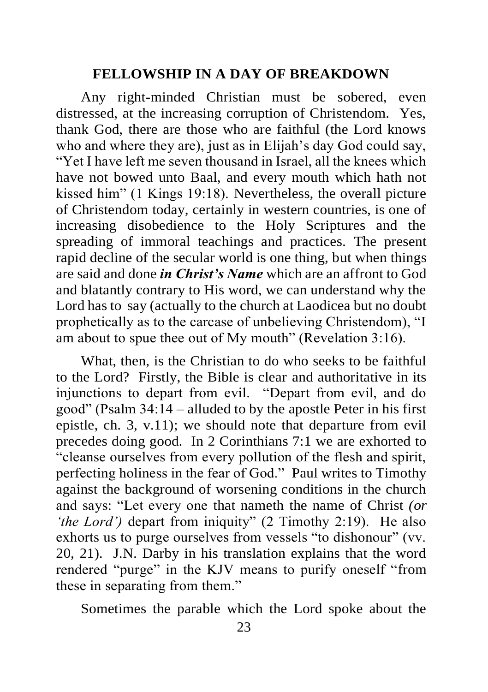## **FELLOWSHIP IN A DAY OF BREAKDOWN**

Any right-minded Christian must be sobered, even distressed, at the increasing corruption of Christendom. Yes, thank God, there are those who are faithful (the Lord knows who and where they are), just as in Elijah's day God could say, "Yet I have left me seven thousand in Israel, all the knees which have not bowed unto Baal, and every mouth which hath not kissed him" (1 Kings 19:18). Nevertheless, the overall picture of Christendom today, certainly in western countries, is one of increasing disobedience to the Holy Scriptures and the spreading of immoral teachings and practices. The present rapid decline of the secular world is one thing, but when things are said and done *in Christ's Name* which are an affront to God and blatantly contrary to His word, we can understand why the Lord has to say (actually to the church at Laodicea but no doubt prophetically as to the carcase of unbelieving Christendom), "I am about to spue thee out of My mouth" (Revelation 3:16).

What, then, is the Christian to do who seeks to be faithful to the Lord? Firstly, the Bible is clear and authoritative in its injunctions to depart from evil. "Depart from evil, and do good" (Psalm 34:14 – alluded to by the apostle Peter in his first epistle, ch. 3, v.11); we should note that departure from evil precedes doing good. In 2 Corinthians 7:1 we are exhorted to "cleanse ourselves from every pollution of the flesh and spirit, perfecting holiness in the fear of God." Paul writes to Timothy against the background of worsening conditions in the church and says: "Let every one that nameth the name of Christ *(or 'the Lord'*) depart from iniquity" (2 Timothy 2:19). He also exhorts us to purge ourselves from vessels "to dishonour" (vv. 20, 21). J.N. Darby in his translation explains that the word rendered "purge" in the KJV means to purify oneself "from these in separating from them."

Sometimes the parable which the Lord spoke about the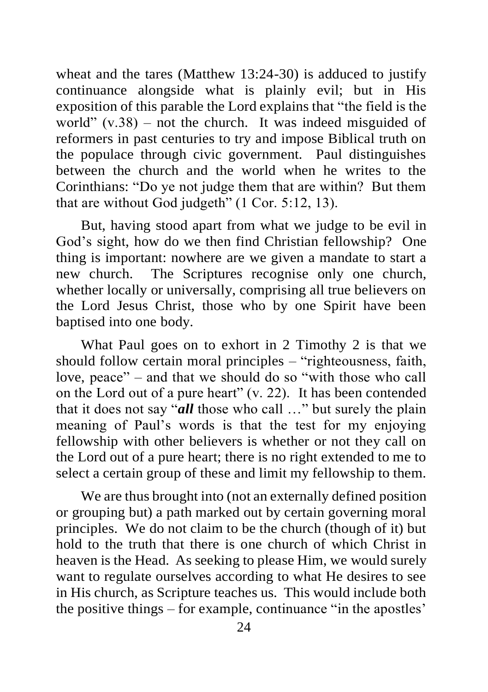wheat and the tares (Matthew 13:24-30) is adduced to justify continuance alongside what is plainly evil; but in His exposition of this parable the Lord explains that "the field is the world"  $(v.38)$  – not the church. It was indeed misguided of reformers in past centuries to try and impose Biblical truth on the populace through civic government. Paul distinguishes between the church and the world when he writes to the Corinthians: "Do ye not judge them that are within? But them that are without God judgeth" (1 Cor. 5:12, 13).

But, having stood apart from what we judge to be evil in God's sight, how do we then find Christian fellowship? One thing is important: nowhere are we given a mandate to start a new church. The Scriptures recognise only one church, whether locally or universally, comprising all true believers on the Lord Jesus Christ, those who by one Spirit have been baptised into one body.

What Paul goes on to exhort in 2 Timothy 2 is that we should follow certain moral principles – "righteousness, faith, love, peace" – and that we should do so "with those who call on the Lord out of a pure heart" (v. 22). It has been contended that it does not say "*all* those who call …" but surely the plain meaning of Paul's words is that the test for my enjoying fellowship with other believers is whether or not they call on the Lord out of a pure heart; there is no right extended to me to select a certain group of these and limit my fellowship to them.

We are thus brought into (not an externally defined position or grouping but) a path marked out by certain governing moral principles. We do not claim to be the church (though of it) but hold to the truth that there is one church of which Christ in heaven is the Head. As seeking to please Him, we would surely want to regulate ourselves according to what He desires to see in His church, as Scripture teaches us. This would include both the positive things – for example, continuance "in the apostles'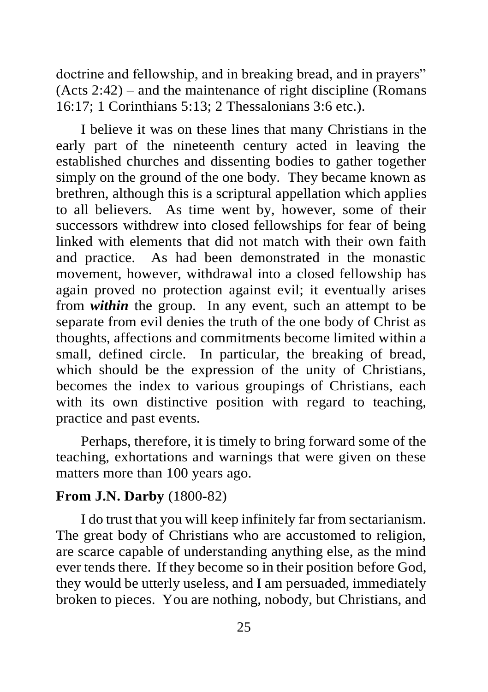doctrine and fellowship, and in breaking bread, and in prayers" (Acts 2:42) – and the maintenance of right discipline (Romans 16:17; 1 Corinthians 5:13; 2 Thessalonians 3:6 etc.).

I believe it was on these lines that many Christians in the early part of the nineteenth century acted in leaving the established churches and dissenting bodies to gather together simply on the ground of the one body. They became known as brethren, although this is a scriptural appellation which applies to all believers. As time went by, however, some of their successors withdrew into closed fellowships for fear of being linked with elements that did not match with their own faith and practice. As had been demonstrated in the monastic movement, however, withdrawal into a closed fellowship has again proved no protection against evil; it eventually arises from *within* the group. In any event, such an attempt to be separate from evil denies the truth of the one body of Christ as thoughts, affections and commitments become limited within a small, defined circle. In particular, the breaking of bread, which should be the expression of the unity of Christians, becomes the index to various groupings of Christians, each with its own distinctive position with regard to teaching, practice and past events.

Perhaps, therefore, it is timely to bring forward some of the teaching, exhortations and warnings that were given on these matters more than 100 years ago.

## **From J.N. Darby** (1800-82)

I do trust that you will keep infinitely far from sectarianism. The great body of Christians who are accustomed to religion, are scarce capable of understanding anything else, as the mind ever tends there. If they become so in their position before God, they would be utterly useless, and I am persuaded, immediately broken to pieces. You are nothing, nobody, but Christians, and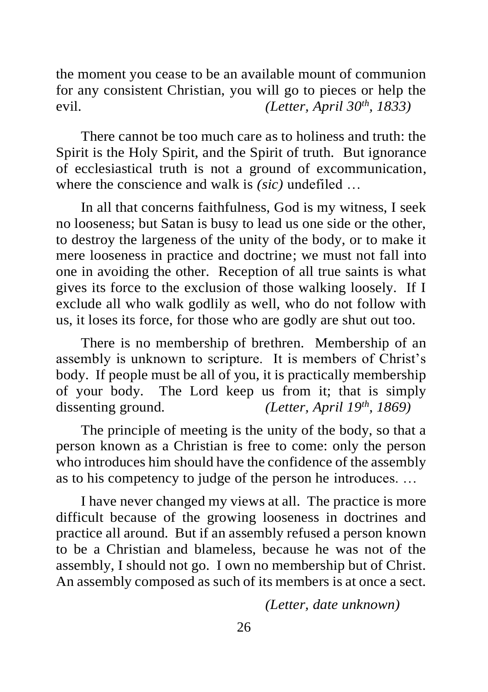the moment you cease to be an available mount of communion for any consistent Christian, you will go to pieces or help the evil. *(Letter, April 30th , 1833)*

There cannot be too much care as to holiness and truth: the Spirit is the Holy Spirit, and the Spirit of truth. But ignorance of ecclesiastical truth is not a ground of excommunication, where the conscience and walk is *(sic)* undefiled …

In all that concerns faithfulness, God is my witness, I seek no looseness; but Satan is busy to lead us one side or the other, to destroy the largeness of the unity of the body, or to make it mere looseness in practice and doctrine; we must not fall into one in avoiding the other. Reception of all true saints is what gives its force to the exclusion of those walking loosely. If I exclude all who walk godlily as well, who do not follow with us, it loses its force, for those who are godly are shut out too.

There is no membership of brethren. Membership of an assembly is unknown to scripture. It is members of Christ's body. If people must be all of you, it is practically membership of your body. The Lord keep us from it; that is simply dissenting ground. *(Letter, April 19th, 1869)*

The principle of meeting is the unity of the body, so that a person known as a Christian is free to come: only the person who introduces him should have the confidence of the assembly as to his competency to judge of the person he introduces. …

I have never changed my views at all. The practice is more difficult because of the growing looseness in doctrines and practice all around. But if an assembly refused a person known to be a Christian and blameless, because he was not of the assembly, I should not go. I own no membership but of Christ. An assembly composed as such of its members is at once a sect.

*(Letter, date unknown)*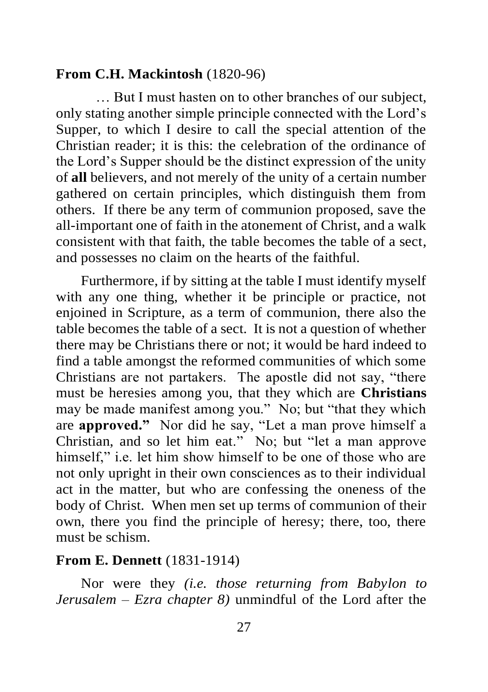### **From C.H. Mackintosh** (1820-96)

 … But I must hasten on to other branches of our subject, only stating another simple principle connected with the Lord's Supper, to which I desire to call the special attention of the Christian reader; it is this: the celebration of the ordinance of the Lord's Supper should be the distinct expression of the unity of **all** believers, and not merely of the unity of a certain number gathered on certain principles, which distinguish them from others. If there be any term of communion proposed, save the all-important one of faith in the atonement of Christ, and a walk consistent with that faith, the table becomes the table of a sect, and possesses no claim on the hearts of the faithful.

Furthermore, if by sitting at the table I must identify myself with any one thing, whether it be principle or practice, not enjoined in Scripture, as a term of communion, there also the table becomes the table of a sect. It is not a question of whether there may be Christians there or not; it would be hard indeed to find a table amongst the reformed communities of which some Christians are not partakers. The apostle did not say, "there must be heresies among you, that they which are **Christians** may be made manifest among you." No; but "that they which are **approved."** Nor did he say, "Let a man prove himself a Christian, and so let him eat." No; but "let a man approve himself," i.e. let him show himself to be one of those who are not only upright in their own consciences as to their individual act in the matter, but who are confessing the oneness of the body of Christ. When men set up terms of communion of their own, there you find the principle of heresy; there, too, there must be schism.

## **From E. Dennett** (1831-1914)

Nor were they *(i.e. those returning from Babylon to Jerusalem – Ezra chapter 8)* unmindful of the Lord after the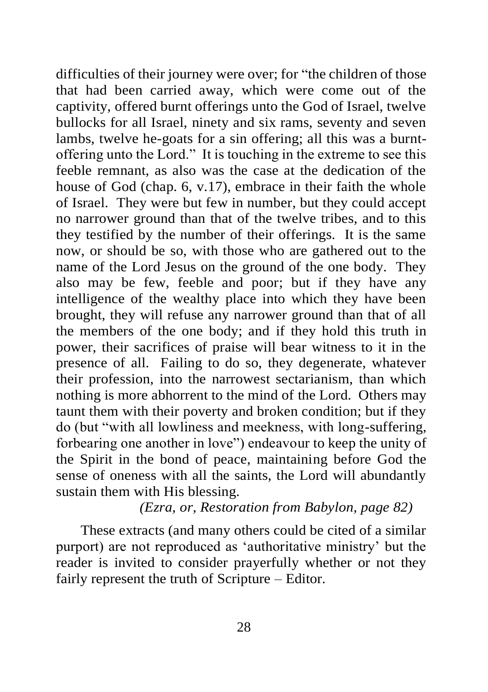difficulties of their journey were over; for "the children of those that had been carried away, which were come out of the captivity, offered burnt offerings unto the God of Israel, twelve bullocks for all Israel, ninety and six rams, seventy and seven lambs, twelve he-goats for a sin offering; all this was a burntoffering unto the Lord." It is touching in the extreme to see this feeble remnant, as also was the case at the dedication of the house of God (chap. 6, v.17), embrace in their faith the whole of Israel. They were but few in number, but they could accept no narrower ground than that of the twelve tribes, and to this they testified by the number of their offerings. It is the same now, or should be so, with those who are gathered out to the name of the Lord Jesus on the ground of the one body. They also may be few, feeble and poor; but if they have any intelligence of the wealthy place into which they have been brought, they will refuse any narrower ground than that of all the members of the one body; and if they hold this truth in power, their sacrifices of praise will bear witness to it in the presence of all. Failing to do so, they degenerate, whatever their profession, into the narrowest sectarianism, than which nothing is more abhorrent to the mind of the Lord. Others may taunt them with their poverty and broken condition; but if they do (but "with all lowliness and meekness, with long-suffering, forbearing one another in love") endeavour to keep the unity of the Spirit in the bond of peace, maintaining before God the sense of oneness with all the saints, the Lord will abundantly sustain them with His blessing.

*(Ezra, or, Restoration from Babylon, page 82)*

These extracts (and many others could be cited of a similar purport) are not reproduced as 'authoritative ministry' but the reader is invited to consider prayerfully whether or not they fairly represent the truth of Scripture – Editor.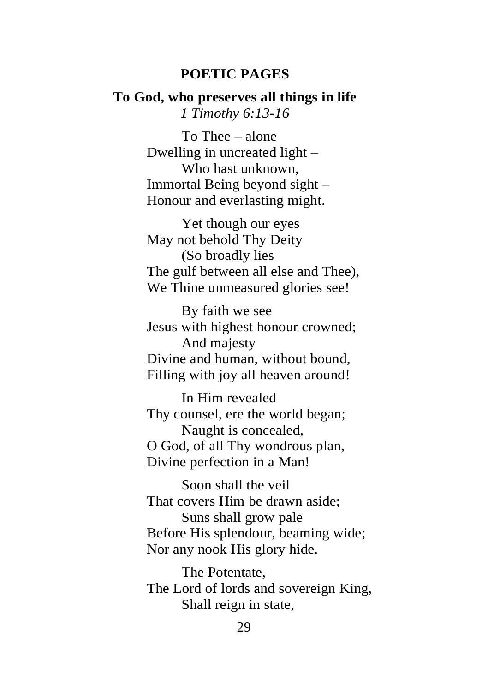#### **POETIC PAGES**

### **To God, who preserves all things in life** *1 Timothy 6:13-16*

To Thee – alone Dwelling in uncreated light – Who hast unknown, Immortal Being beyond sight – Honour and everlasting might.

Yet though our eyes May not behold Thy Deity (So broadly lies The gulf between all else and Thee), We Thine unmeasured glories see!

By faith we see Jesus with highest honour crowned; And majesty Divine and human, without bound, Filling with joy all heaven around!

In Him revealed Thy counsel, ere the world began; Naught is concealed, O God, of all Thy wondrous plan, Divine perfection in a Man!

Soon shall the veil That covers Him be drawn aside; Suns shall grow pale Before His splendour, beaming wide; Nor any nook His glory hide.

The Potentate, The Lord of lords and sovereign King, Shall reign in state,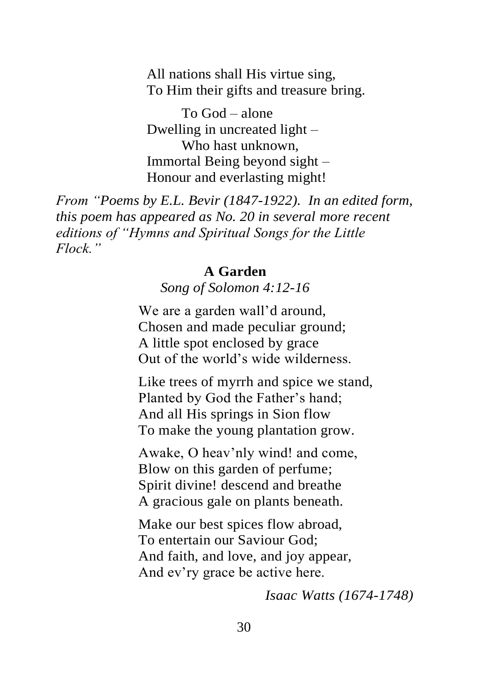All nations shall His virtue sing, To Him their gifts and treasure bring.

To God – alone Dwelling in uncreated light – Who hast unknown, Immortal Being beyond sight – Honour and everlasting might!

*From "Poems by E.L. Bevir (1847-1922). In an edited form, this poem has appeared as No. 20 in several more recent editions of "Hymns and Spiritual Songs for the Little Flock."*

### **A Garden**

*Song of Solomon 4:12-16*

We are a garden wall'd around, Chosen and made peculiar ground; A little spot enclosed by grace Out of the world's wide wilderness.

Like trees of myrrh and spice we stand, Planted by God the Father's hand; And all His springs in Sion flow To make the young plantation grow.

Awake, O heav'nly wind! and come, Blow on this garden of perfume; Spirit divine! descend and breathe A gracious gale on plants beneath.

Make our best spices flow abroad, To entertain our Saviour God; And faith, and love, and joy appear, And ev'ry grace be active here.

*Isaac Watts (1674-1748)*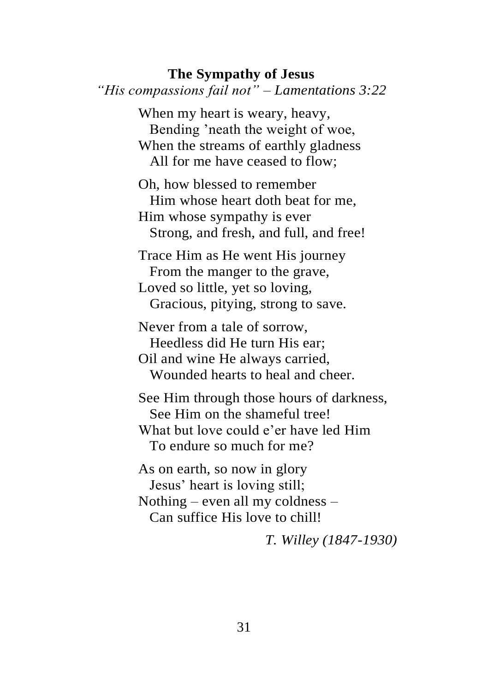## **The Sympathy of Jesus** *"His compassions fail not" – Lamentations 3:22* When my heart is weary, heavy, Bending 'neath the weight of woe, When the streams of earthly gladness All for me have ceased to flow; Oh, how blessed to remember Him whose heart doth beat for me, Him whose sympathy is ever Strong, and fresh, and full, and free! Trace Him as He went His journey

 From the manger to the grave, Loved so little, yet so loving, Gracious, pitying, strong to save.

Never from a tale of sorrow, Heedless did He turn His ear; Oil and wine He always carried, Wounded hearts to heal and cheer.

See Him through those hours of darkness, See Him on the shameful tree! What but love could e'er have led Him To endure so much for me?

As on earth, so now in glory Jesus' heart is loving still; Nothing – even all my coldness – Can suffice His love to chill!

*T. Willey (1847-1930)*